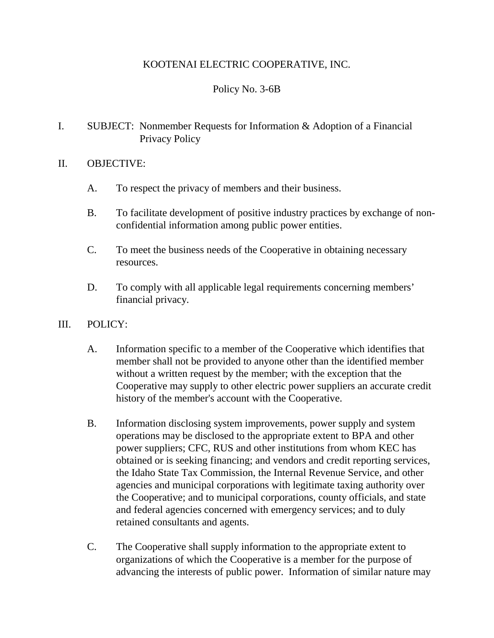# KOOTENAI ELECTRIC COOPERATIVE, INC.

# Policy No. 3-6B

### I. SUBJECT: Nonmember Requests for Information & Adoption of a Financial Privacy Policy

### II. OBJECTIVE:

- A. To respect the privacy of members and their business.
- B. To facilitate development of positive industry practices by exchange of nonconfidential information among public power entities.
- C. To meet the business needs of the Cooperative in obtaining necessary resources.
- D. To comply with all applicable legal requirements concerning members' financial privacy.
- III. POLICY:
	- A. Information specific to a member of the Cooperative which identifies that member shall not be provided to anyone other than the identified member without a written request by the member; with the exception that the Cooperative may supply to other electric power suppliers an accurate credit history of the member's account with the Cooperative.
	- B. Information disclosing system improvements, power supply and system operations may be disclosed to the appropriate extent to BPA and other power suppliers; CFC, RUS and other institutions from whom KEC has obtained or is seeking financing; and vendors and credit reporting services, the Idaho State Tax Commission, the Internal Revenue Service, and other agencies and municipal corporations with legitimate taxing authority over the Cooperative; and to municipal corporations, county officials, and state and federal agencies concerned with emergency services; and to duly retained consultants and agents.
	- C. The Cooperative shall supply information to the appropriate extent to organizations of which the Cooperative is a member for the purpose of advancing the interests of public power. Information of similar nature may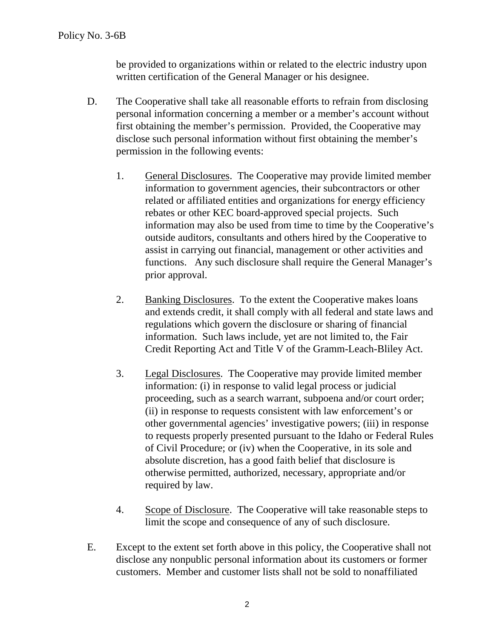be provided to organizations within or related to the electric industry upon written certification of the General Manager or his designee.

- D. The Cooperative shall take all reasonable efforts to refrain from disclosing personal information concerning a member or a member's account without first obtaining the member's permission. Provided, the Cooperative may disclose such personal information without first obtaining the member's permission in the following events:
	- 1. General Disclosures. The Cooperative may provide limited member information to government agencies, their subcontractors or other related or affiliated entities and organizations for energy efficiency rebates or other KEC board-approved special projects. Such information may also be used from time to time by the Cooperative's outside auditors, consultants and others hired by the Cooperative to assist in carrying out financial, management or other activities and functions. Any such disclosure shall require the General Manager's prior approval.
	- 2. Banking Disclosures. To the extent the Cooperative makes loans and extends credit, it shall comply with all federal and state laws and regulations which govern the disclosure or sharing of financial information. Such laws include, yet are not limited to, the Fair Credit Reporting Act and Title V of the Gramm-Leach-Bliley Act.
	- 3. Legal Disclosures. The Cooperative may provide limited member information: (i) in response to valid legal process or judicial proceeding, such as a search warrant, subpoena and/or court order; (ii) in response to requests consistent with law enforcement's or other governmental agencies' investigative powers; (iii) in response to requests properly presented pursuant to the Idaho or Federal Rules of Civil Procedure; or (iv) when the Cooperative, in its sole and absolute discretion, has a good faith belief that disclosure is otherwise permitted, authorized, necessary, appropriate and/or required by law.
	- 4. Scope of Disclosure. The Cooperative will take reasonable steps to limit the scope and consequence of any of such disclosure.
- E. Except to the extent set forth above in this policy, the Cooperative shall not disclose any nonpublic personal information about its customers or former customers. Member and customer lists shall not be sold to nonaffiliated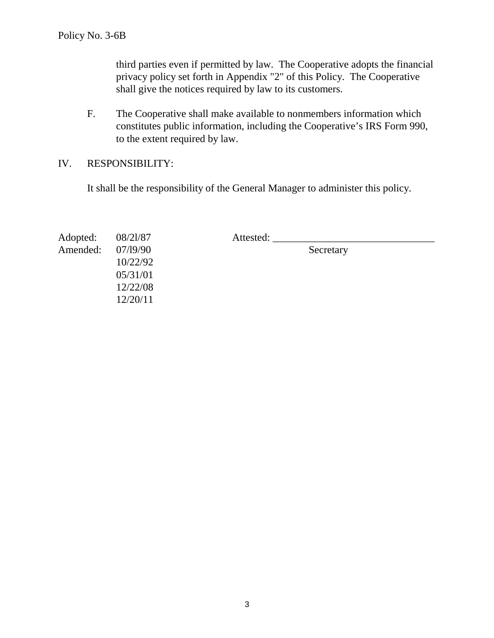third parties even if permitted by law. The Cooperative adopts the financial privacy policy set forth in Appendix "2" of this Policy. The Cooperative shall give the notices required by law to its customers.

- F. The Cooperative shall make available to nonmembers information which constitutes public information, including the Cooperative's IRS Form 990, to the extent required by law.
- IV. RESPONSIBILITY:

It shall be the responsibility of the General Manager to administer this policy.

| Adopted: | 08/21/87 | Attested: |  |
|----------|----------|-----------|--|
| Amended: | 07/19/90 | Secretary |  |
|          | 10/22/92 |           |  |
|          | 05/31/01 |           |  |
|          | 12/22/08 |           |  |
|          | 12/20/11 |           |  |

3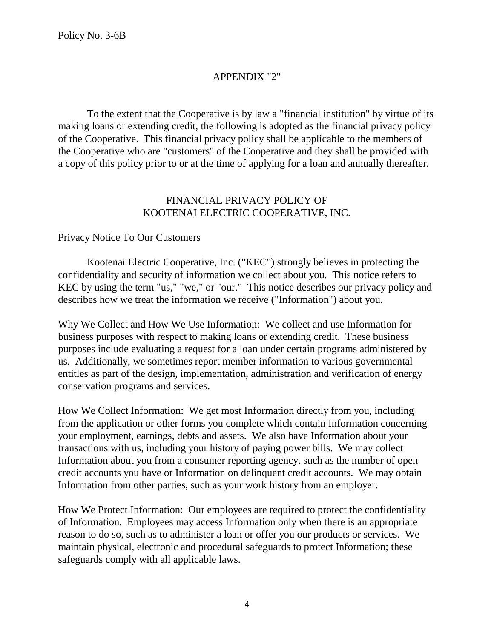# APPENDIX "2"

To the extent that the Cooperative is by law a "financial institution" by virtue of its making loans or extending credit, the following is adopted as the financial privacy policy of the Cooperative. This financial privacy policy shall be applicable to the members of the Cooperative who are "customers" of the Cooperative and they shall be provided with a copy of this policy prior to or at the time of applying for a loan and annually thereafter.

### FINANCIAL PRIVACY POLICY OF KOOTENAI ELECTRIC COOPERATIVE, INC.

#### Privacy Notice To Our Customers

Kootenai Electric Cooperative, Inc. ("KEC") strongly believes in protecting the confidentiality and security of information we collect about you. This notice refers to KEC by using the term "us," "we," or "our." This notice describes our privacy policy and describes how we treat the information we receive ("Information") about you.

Why We Collect and How We Use Information: We collect and use Information for business purposes with respect to making loans or extending credit. These business purposes include evaluating a request for a loan under certain programs administered by us. Additionally, we sometimes report member information to various governmental entitles as part of the design, implementation, administration and verification of energy conservation programs and services.

How We Collect Information: We get most Information directly from you, including from the application or other forms you complete which contain Information concerning your employment, earnings, debts and assets. We also have Information about your transactions with us, including your history of paying power bills. We may collect Information about you from a consumer reporting agency, such as the number of open credit accounts you have or Information on delinquent credit accounts. We may obtain Information from other parties, such as your work history from an employer.

How We Protect Information: Our employees are required to protect the confidentiality of Information. Employees may access Information only when there is an appropriate reason to do so, such as to administer a loan or offer you our products or services. We maintain physical, electronic and procedural safeguards to protect Information; these safeguards comply with all applicable laws.